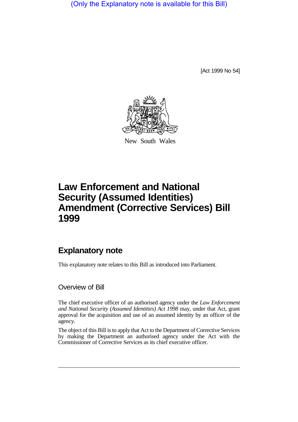(Only the Explanatory note is available for this Bill)

[Act 1999 No 54]



New South Wales

## **Law Enforcement and National Security (Assumed Identities) Amendment (Corrective Services) Bill 1999**

## **Explanatory note**

This explanatory note relates to this Bill as introduced into Parliament.

## Overview of Bill

The chief executive officer of an authorised agency under the *Law Enforcement and National Security (Assumed Identities) Act 1998* may, under that Act, grant approval for the acquisition and use of an assumed identity by an officer of the agency.

The object of this Bill is to apply that Act to the Department of Corrective Services by making the Department an authorised agency under the Act with the Commissioner of Corrective Services as its chief executive officer.